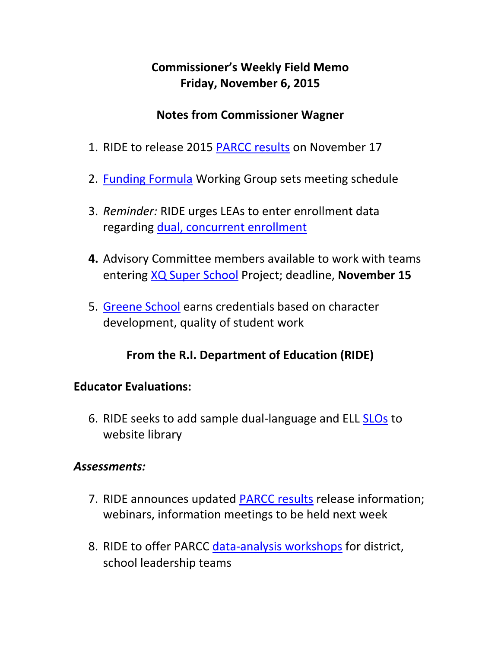## **Commissioner's Weekly Field Memo Friday, November 6, 2015**

### **Notes from Commissioner Wagner**

- 1. RIDE to release 2015 [PARCC results](#page-2-0) on November 17
- 2. [Funding Formula](#page-3-0) Working Group sets meeting schedule
- 3. *Reminder:* RIDE urges LEAs to enter enrollment data regarding [dual, concurrent enrollment](#page-4-0)
- **4.** Advisory Committee members available to work with teams entering [XQ Super School](#page-5-0) Project; deadline, **November 15**
- 5. [Greene School](#page-5-0) earns credentials based on character development, quality of student work

### **From the R.I. Department of Education (RIDE)**

### **Educator Evaluations:**

6. RIDE seeks to add sample dual-language and ELL [SLOs](#page-6-0) to website library

#### *Assessments:*

- 7. RIDE announces updated [PARCC results](#page-7-0) release information; webinars, information meetings to be held next week
- 8. RIDE to offer PARCC [data-analysis workshops](#page-9-0) for district, school leadership teams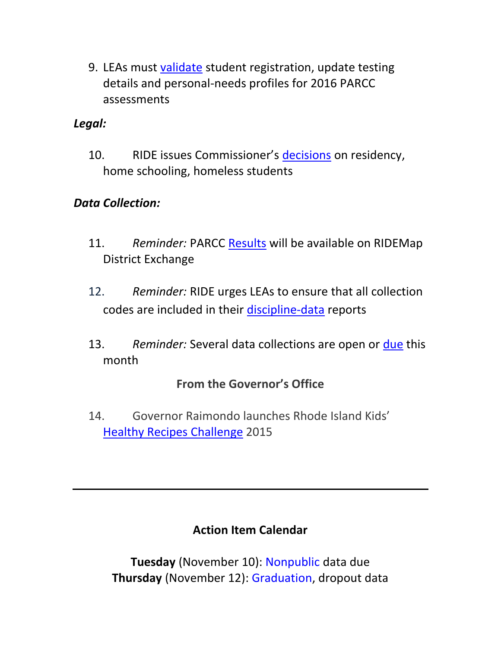9. LEAs must [validate](#page-12-0) student registration, update testing details and personal-needs profiles for 2016 PARCC assessments

### *Legal:*

10. RIDE issues Commissioner's [decisions](#page-12-1) on residency, home schooling, homeless students

### *Data Collection:*

- 11. *Reminder:* PARCC [Results](#page-14-0) will be available on RIDEMap District Exchange
- 12. *Reminder:* RIDE urges LEAs to ensure that all collection codes are included in their [discipline-data](#page-14-1) reports
- 13. *Reminder:* Several data collections are open or [due](#page-15-0) this month

### **From the Governor's Office**

14. Governor Raimondo launches Rhode Island Kids' [Healthy Recipes Challenge](#page-16-0) 2015

### **Action Item Calendar**

**Tuesday** (November 10): Nonpublic data due **Thursday** (November 12): Graduation, dropout data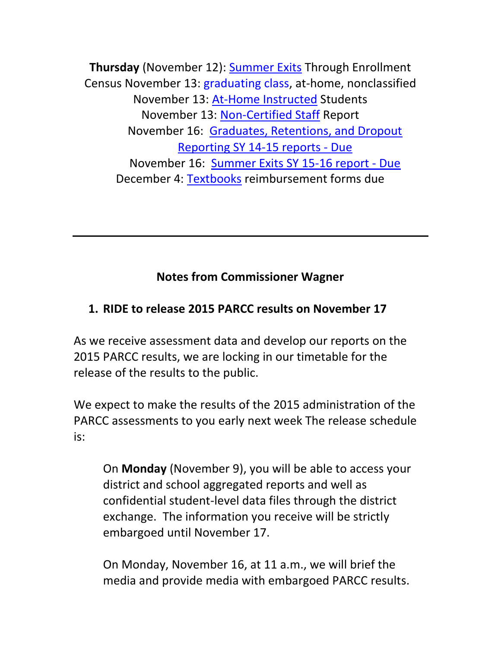**Thursday** (November 12): [Summer Exits](http://ride.ri.gov/Portals/0/Uploads/Documents/FieldMemos/101615-FM.pdf) Through Enrollment Census November 13: graduating class, at-home, nonclassified November 13: [At-Home Instructed](http://ride.ri.gov/Portals/0/Uploads/Documents/FieldMemos/101615-FM.pdf) Students November 13: [Non-Certified Staff](http://ride.ri.gov/Portals/0/Uploads/Documents/FieldMemos/101615-FM.pdf) Report November 16: [Graduates, Retentions, and Dropout](https://www.eride.ri.gov/eRide40/DataDictionary/ViewDetails.aspx?ID=296)  [Reporting SY 14-15 reports -](https://www.eride.ri.gov/eRide40/DataDictionary/ViewDetails.aspx?ID=296) Due November 16: [Summer Exits SY 15-16 report -](https://www.eride.ri.gov/eRide40/DataDictionary/ViewDetails.aspx?ID=301) Due December 4: [Textbooks](http://ride.ri.gov/Portals/0/Uploads/Documents/102315-FM.pdf) reimbursement forms due

### **Notes from Commissioner Wagner**

### <span id="page-2-0"></span>**1. RIDE to release 2015 PARCC results on November 17**

As we receive assessment data and develop our reports on the 2015 PARCC results, we are locking in our timetable for the release of the results to the public.

We expect to make the results of the 2015 administration of the PARCC assessments to you early next week The release schedule is:

On **Monday** (November 9), you will be able to access your district and school aggregated reports and well as confidential student-level data files through the district exchange. The information you receive will be strictly embargoed until November 17.

On Monday, November 16, at 11 a.m., we will brief the media and provide media with embargoed PARCC results.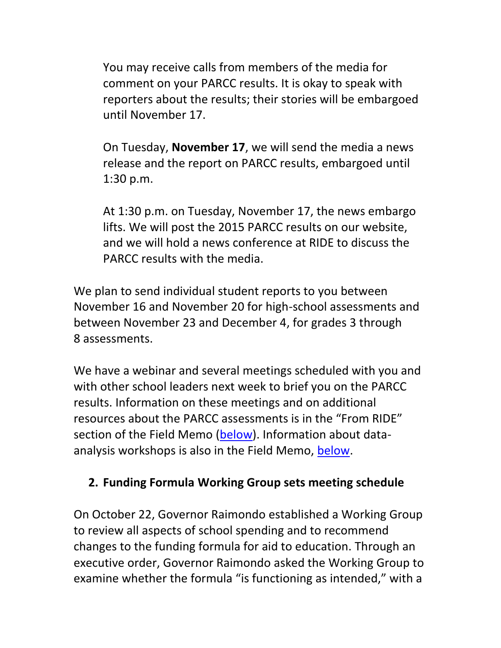You may receive calls from members of the media for comment on your PARCC results. It is okay to speak with reporters about the results; their stories will be embargoed until November 17.

On Tuesday, **November 17**, we will send the media a news release and the report on PARCC results, embargoed until 1:30 p.m.

At 1:30 p.m. on Tuesday, November 17, the news embargo lifts. We will post the 2015 PARCC results on our website, and we will hold a news conference at RIDE to discuss the PARCC results with the media.

We plan to send individual student reports to you between November 16 and November 20 for high-school assessments and between November 23 and December 4, for grades 3 through 8 assessments.

We have a webinar and several meetings scheduled with you and with other school leaders next week to brief you on the PARCC results. Information on these meetings and on additional resources about the PARCC assessments is in the "From RIDE" section of the Field Memo [\(below\)](#page-7-0). Information about dataanalysis workshops is also in the Field Memo, [below.](#page-9-0)

### <span id="page-3-0"></span>**2. Funding Formula Working Group sets meeting schedule**

On October 22, Governor Raimondo established a Working Group to review all aspects of school spending and to recommend changes to the funding formula for aid to education. Through an executive order, Governor Raimondo asked the Working Group to examine whether the formula "is functioning as intended," with a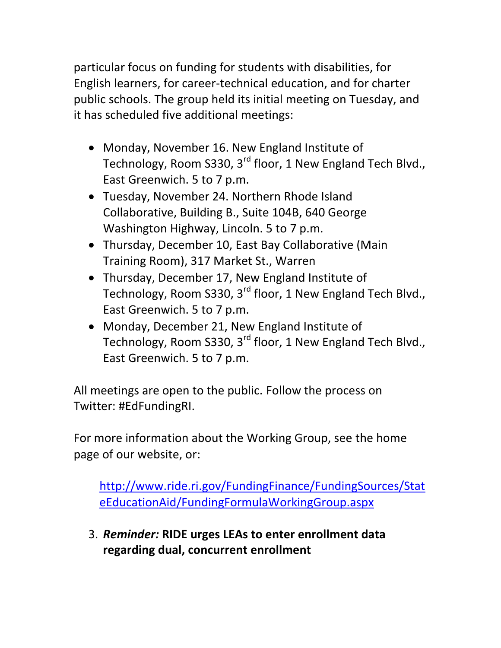particular focus on funding for students with disabilities, for English learners, for career-technical education, and for charter public schools. The group held its initial meeting on Tuesday, and it has scheduled five additional meetings:

- Monday, November 16. New England Institute of Technology, Room S330, 3<sup>rd</sup> floor, 1 New England Tech Blvd., East Greenwich. 5 to 7 p.m.
- Tuesday, November 24. Northern Rhode Island Collaborative, Building B., Suite 104B, 640 George Washington Highway, Lincoln. 5 to 7 p.m.
- Thursday, December 10, East Bay Collaborative (Main Training Room), 317 Market St., Warren
- Thursday, December 17, New England Institute of Technology, Room S330, 3<sup>rd</sup> floor, 1 New England Tech Blvd., East Greenwich. 5 to 7 p.m.
- Monday, December 21, New England Institute of Technology, Room S330, 3<sup>rd</sup> floor, 1 New England Tech Blvd., East Greenwich. 5 to 7 p.m.

All meetings are open to the public. Follow the process on Twitter: #EdFundingRI.

For more information about the Working Group, see the home page of our website, or:

[http://www.ride.ri.gov/FundingFinance/FundingSources/Stat](http://www.ride.ri.gov/FundingFinance/FundingSources/StateEducationAid/FundingFormulaWorkingGroup.aspx) [eEducationAid/FundingFormulaWorkingGroup.aspx](http://www.ride.ri.gov/FundingFinance/FundingSources/StateEducationAid/FundingFormulaWorkingGroup.aspx)

<span id="page-4-0"></span>3. *Reminder:* **RIDE urges LEAs to enter enrollment data regarding dual, concurrent enrollment**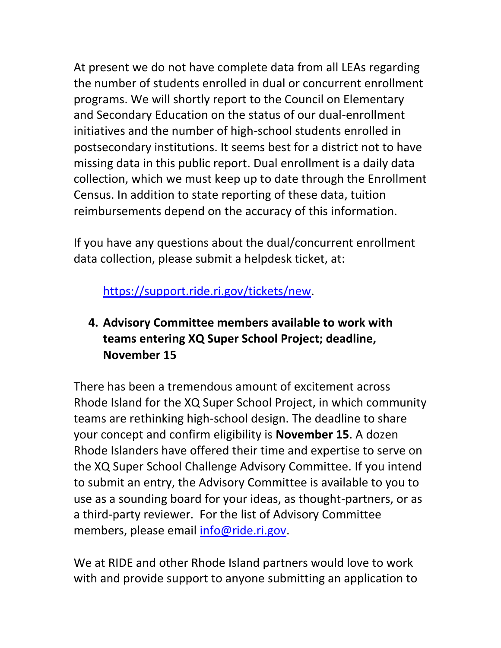At present we do not have complete data from all LEAs regarding the number of students enrolled in dual or concurrent enrollment programs. We will shortly report to the Council on Elementary and Secondary Education on the status of our dual-enrollment initiatives and the number of high-school students enrolled in postsecondary institutions. It seems best for a district not to have missing data in this public report. Dual enrollment is a daily data collection, which we must keep up to date through the Enrollment Census. In addition to state reporting of these data, tuition reimbursements depend on the accuracy of this information.

If you have any questions about the dual/concurrent enrollment data collection, please submit a helpdesk ticket, at:

<https://support.ride.ri.gov/>tickets/new.

## <span id="page-5-0"></span>**4. Advisory Committee members available to work with teams entering XQ Super School Project; deadline, November 15**

There has been a tremendous amount of excitement across Rhode Island for the XQ Super School Project, in which community teams are rethinking high-school design. The deadline to share your concept and confirm eligibility is **November 15**. A dozen Rhode Islanders have offered their time and expertise to serve on the XQ Super School Challenge Advisory Committee. If you intend to submit an entry, the Advisory Committee is available to you to use as a sounding board for your ideas, as thought-partners, or as a third-party reviewer. For the list of Advisory Committee members, please email [info@ride.ri.gov.](mailto:info@ride.ri.gov)

We at RIDE and other Rhode Island partners would love to work with and provide support to anyone submitting an application to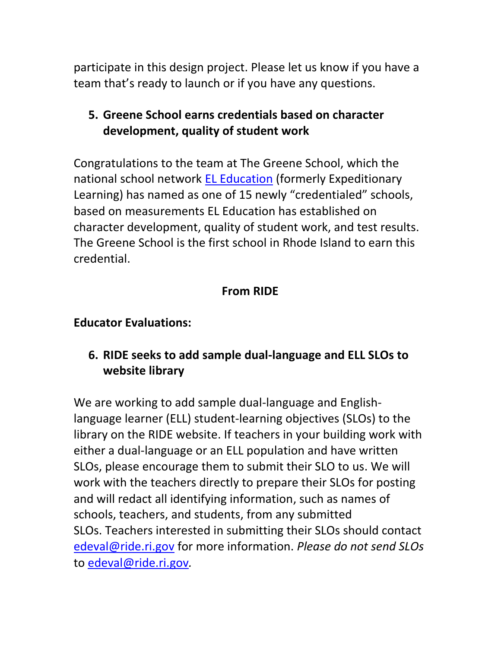participate in this design project. Please let us know if you have a team that's ready to launch or if you have any questions.

### **5. Greene School earns credentials based on character development, quality of student work**

Congratulations to the team at The Greene School, which the national school network [EL Education](http://eleducation.org/) (formerly Expeditionary Learning) has named as one of 15 newly "credentialed" schools, based on measurements EL Education has established on character development, quality of student work, and test results. The Greene School is the first school in Rhode Island to earn this credential.

## **From RIDE**

### **Educator Evaluations:**

## <span id="page-6-0"></span>**6. RIDE seeks to add sample dual-language and ELL SLOs to website library**

We are working to add sample dual-language and Englishlanguage learner (ELL) student-learning objectives (SLOs) to the library on the RIDE website. If teachers in your building work with either a dual-language or an ELL population and have written SLOs, please encourage them to submit their SLO to us. We will work with the teachers directly to prepare their SLOs for posting and will redact all identifying information, such as names of schools, teachers, and students, from any submitted SLOs. Teachers interested in submitting their SLOs should contact [edeval@ride.ri.gov](mailto:edeval@ride.ri.gov) for more information. *Please do not send SLOs*  to [edeval@ride.ri.gov](mailto:edeval@ride.ri.gov)*.*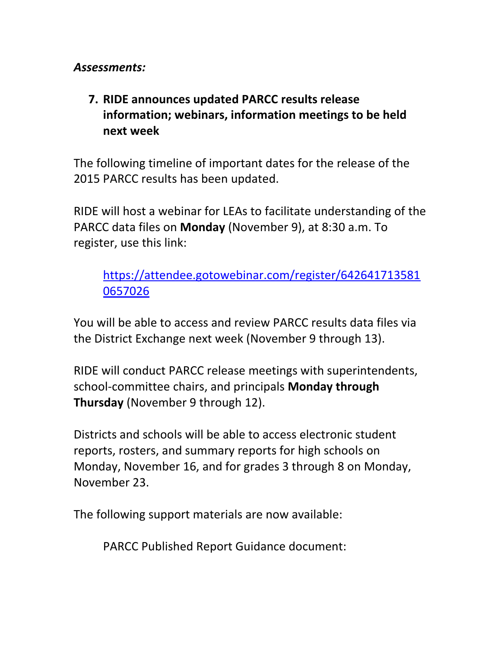*Assessments:*

### <span id="page-7-0"></span>**7. RIDE announces updated PARCC results release information; webinars, information meetings to be held next week**

The following timeline of important dates for the release of the 2015 PARCC results has been updated.

RIDE will host a webinar for LEAs to facilitate understanding of the PARCC data files on **Monday** (November 9), at 8:30 a.m. To register, use this link:

[https://attendee.gotowebinar.com/register/642641713581](https://attendee.gotowebinar.com/register/6426417135810657026) [0657026](https://attendee.gotowebinar.com/register/6426417135810657026)

You will be able to access and review PARCC results data files via the District Exchange next week (November 9 through 13).

RIDE will conduct PARCC release meetings with superintendents, school-committee chairs, and principals **Monday through Thursday** (November 9 through 12).

Districts and schools will be able to access electronic student reports, rosters, and summary reports for high schools on Monday, November 16, and for grades 3 through 8 on Monday, November 23.

The following support materials are now available:

PARCC Published Report Guidance document: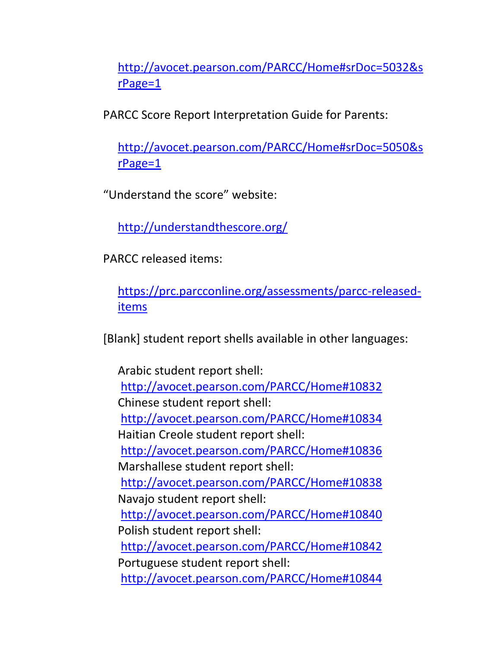[http://avocet.pearson.com/PARCC/Home#srDoc=5032&s](http://avocet.pearson.com/PARCC/Home#srDoc=5032&srPage=1) [rPage=1](http://avocet.pearson.com/PARCC/Home#srDoc=5032&srPage=1)

PARCC Score Report Interpretation Guide for Parents:

[http://avocet.pearson.com/PARCC/Home#srDoc=5050&s](http://avocet.pearson.com/PARCC/Home#srDoc=5050&srPage=1) [rPage=1](http://avocet.pearson.com/PARCC/Home#srDoc=5050&srPage=1)

"Understand the score" website:

<http://understandthescore.org/>

PARCC released items:

[https://prc.parcconline.org/assessments/parcc-released](https://prc.parcconline.org/assessments/parcc-released-items)[items](https://prc.parcconline.org/assessments/parcc-released-items)

[Blank] student report shells available in other languages:

Arabic student report shell: <http://avocet.pearson.com/PARCC/Home#10832> Chinese student report shell: <http://avocet.pearson.com/PARCC/Home#10834> Haitian Creole student report shell: <http://avocet.pearson.com/PARCC/Home#10836> Marshallese student report shell: <http://avocet.pearson.com/PARCC/Home#10838> Navajo student report shell: <http://avocet.pearson.com/PARCC/Home#10840> Polish student report shell: <http://avocet.pearson.com/PARCC/Home#10842> Portuguese student report shell: <http://avocet.pearson.com/PARCC/Home#10844>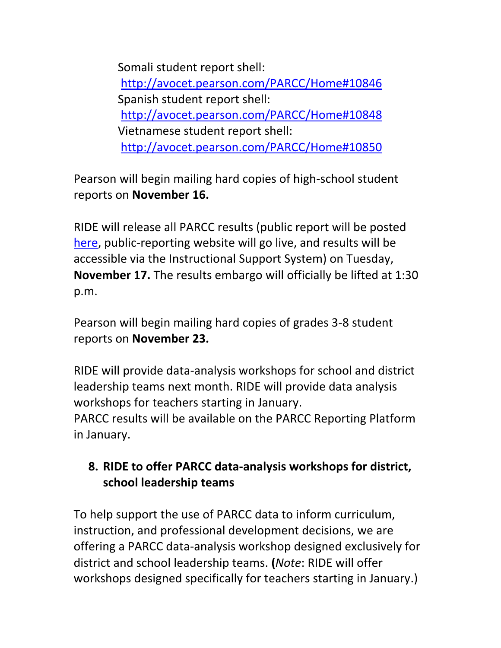Somali student report shell: <http://avocet.pearson.com/PARCC/Home#10846> Spanish student report shell: <http://avocet.pearson.com/PARCC/Home#10848> Vietnamese student report shell: <http://avocet.pearson.com/PARCC/Home#10850>

Pearson will begin mailing hard copies of high-school student reports on **November 16.**

RIDE will release all PARCC results (public report will be posted [here,](http://www.ride.ri.gov/InstructionAssessment/Assessment/AssessmentResults.aspx) public-reporting website will go live, and results will be accessible via the Instructional Support System) on Tuesday, **November 17.** The results embargo will officially be lifted at 1:30 p.m.

Pearson will begin mailing hard copies of grades 3-8 student reports on **November 23.**

RIDE will provide data-analysis workshops for school and district leadership teams next month. RIDE will provide data analysis workshops for teachers starting in January.

PARCC results will be available on the PARCC Reporting Platform in January.

## <span id="page-9-0"></span>**8. RIDE to offer PARCC data-analysis workshops for district, school leadership teams**

To help support the use of PARCC data to inform curriculum, instruction, and professional development decisions, we are offering a PARCC data-analysis workshop designed exclusively for district and school leadership teams. **(***Note*: RIDE will offer workshops designed specifically for teachers starting in January.)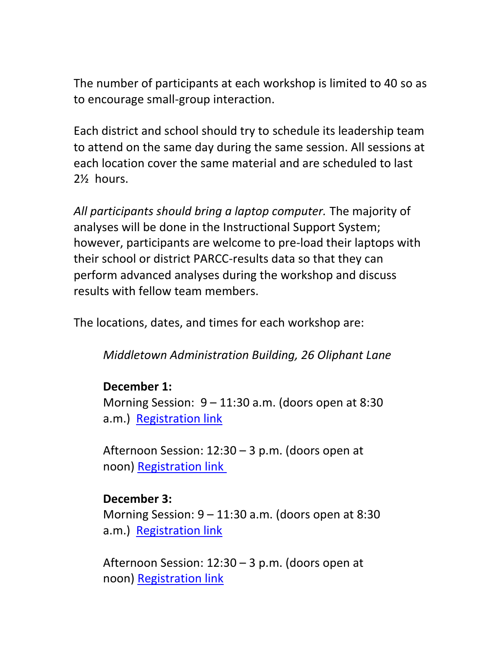The number of participants at each workshop is limited to 40 so as to encourage small-group interaction.

Each district and school should try to schedule its leadership team to attend on the same day during the same session. All sessions at each location cover the same material and are scheduled to last 2½ hours.

*All participants should bring a laptop computer.* The majority of analyses will be done in the Instructional Support System; however, participants are welcome to pre-load their laptops with their school or district PARCC-results data so that they can perform advanced analyses during the workshop and discuss results with fellow team members.

The locations, dates, and times for each workshop are:

*Middletown Administration Building, 26 Oliphant Lane*

### **December 1:**

Morning Session: 9 – 11:30 a.m. (doors open at 8:30 a.m.) [Registration link](http://www.eride.ri.gov/workshopreg/ViewWorkshop.aspx?workshopid=1364)

Afternoon Session: 12:30 – 3 p.m. (doors open at noon) [Registration link](http://www.eride.ri.gov/workshopreg/ViewWorkshop.aspx?workshopid=1365)

#### **December 3:**

Morning Session: 9 – 11:30 a.m. (doors open at 8:30 a.m.) [Registration link](http://www.eride.ri.gov/workshopreg/ViewWorkshop.aspx?workshopid=1366)

Afternoon Session: 12:30 – 3 p.m. (doors open at noon) [Registration link](http://www.eride.ri.gov/workshopreg/ViewWorkshop.aspx?workshopid=1367)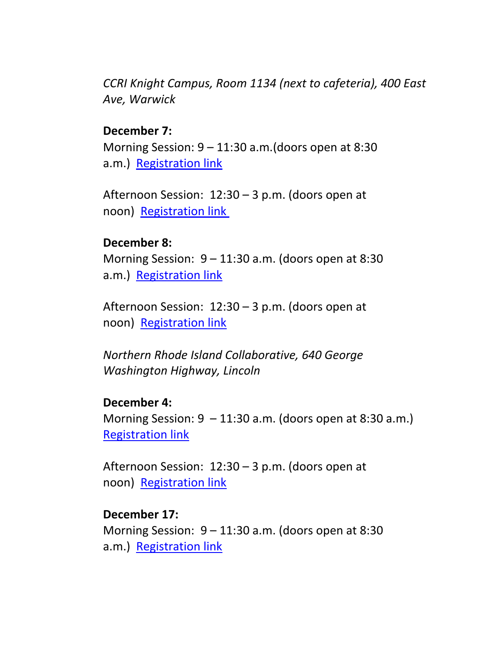*CCRI Knight Campus, Room 1134 (next to cafeteria), 400 East Ave, Warwick*

#### **December 7:**

Morning Session: 9 – 11:30 a.m.(doors open at 8:30 a.m.) [Registration link](http://www.eride.ri.gov/workshopreg/ViewWorkshop.aspx?workshopid=1368)

Afternoon Session: 12:30 – 3 p.m. (doors open at noon) [Registration link](http://www.eride.ri.gov/workshopreg/ViewWorkshop.aspx?workshopid=1369)

#### **December 8:**

Morning Session: 9 – 11:30 a.m. (doors open at 8:30 a.m.) [Registration link](http://www.eride.ri.gov/workshopreg/ViewWorkshop.aspx?workshopid=1370)

Afternoon Session: 12:30 – 3 p.m. (doors open at noon) [Registration link](http://www.eride.ri.gov/workshopreg/ViewWorkshop.aspx?workshopid=1371)

*Northern Rhode Island Collaborative, 640 George Washington Highway, Lincoln*

#### **December 4:**

Morning Session:  $9 - 11:30$  a.m. (doors open at 8:30 a.m.) [Registration link](http://www.eride.ri.gov/workshopreg/ViewWorkshop.aspx?workshopid=1372)

Afternoon Session: 12:30 – 3 p.m. (doors open at noon) [Registration link](http://www.eride.ri.gov/workshopreg/ViewWorkshop.aspx?workshopid=1373)

#### **December 17:**

Morning Session: 9 – 11:30 a.m. (doors open at 8:30 a.m.) [Registration link](http://www.eride.ri.gov/workshopreg/ViewWorkshop.aspx?workshopid=1374)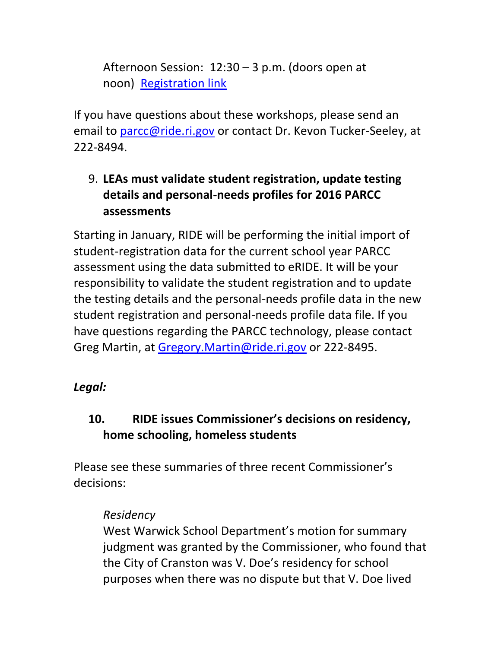Afternoon Session: 12:30 – 3 p.m. (doors open at noon) [Registration link](http://www.eride.ri.gov/workshopreg/ViewWorkshop.aspx?workshopid=1375)

If you have questions about these workshops, please send an email to [parcc@ride.ri.gov](mailto:parcc@ride.ri.gov) or contact Dr. Kevon Tucker-Seeley, at 222-8494.

## <span id="page-12-0"></span>9. **LEAs must validate student registration, update testing details and personal-needs profiles for 2016 PARCC assessments**

Starting in January, RIDE will be performing the initial import of student-registration data for the current school year PARCC assessment using the data submitted to eRIDE. It will be your responsibility to validate the student registration and to update the testing details and the personal-needs profile data in the new student registration and personal-needs profile data file. If you have questions regarding the PARCC technology, please contact Greg Martin, at [Gregory.Martin@ride.ri.gov](mailto:Gregory.Martin@ride.ri.gov) or 222-8495.

## *Legal:*

## <span id="page-12-1"></span>**10. RIDE issues Commissioner's decisions on residency, home schooling, homeless students**

Please see these summaries of three recent Commissioner's decisions:

### *Residency*

West Warwick School Department's motion for summary judgment was granted by the Commissioner, who found that the City of Cranston was V. Doe's residency for school purposes when there was no dispute but that V. Doe lived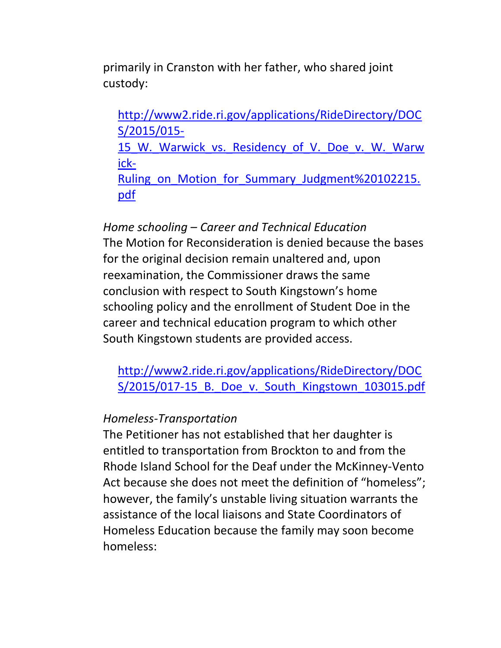primarily in Cranston with her father, who shared joint custody:

[http://www2.ride.ri.gov/applications/RideDirectory/DOC](http://www2.ride.ri.gov/applications/RideDirectory/DOCS/2015/015-15_W._Warwick_vs._Residency_of_V._Doe_v._W._Warwick-Ruling_on_Motion_for_Summary_Judgment%20102215.pdf) [S/2015/015-](http://www2.ride.ri.gov/applications/RideDirectory/DOCS/2015/015-15_W._Warwick_vs._Residency_of_V._Doe_v._W._Warwick-Ruling_on_Motion_for_Summary_Judgment%20102215.pdf) 15 W. Warwick vs. Residency of V. Doe v. W. Warw [ick-](http://www2.ride.ri.gov/applications/RideDirectory/DOCS/2015/015-15_W._Warwick_vs._Residency_of_V._Doe_v._W._Warwick-Ruling_on_Motion_for_Summary_Judgment%20102215.pdf)Ruling on Motion for Summary Judgment%20102215. [pdf](http://www2.ride.ri.gov/applications/RideDirectory/DOCS/2015/015-15_W._Warwick_vs._Residency_of_V._Doe_v._W._Warwick-Ruling_on_Motion_for_Summary_Judgment%20102215.pdf)

*Home schooling – Career and Technical Education* The Motion for Reconsideration is denied because the bases for the original decision remain unaltered and, upon reexamination, the Commissioner draws the same conclusion with respect to South Kingstown's home schooling policy and the enrollment of Student Doe in the career and technical education program to which other South Kingstown students are provided access.

[http://www2.ride.ri.gov/applications/RideDirectory/DOC](http://www2.ride.ri.gov/applications/RideDirectory/DOCS/2015/017-15_B._Doe_v._South_Kingstown_103015.pdf) S/2015/017-15 B. Doe v. South Kingstown 103015.pdf

#### *Homeless-Transportation*

The Petitioner has not established that her daughter is entitled to transportation from Brockton to and from the Rhode Island School for the Deaf under the McKinney-Vento Act because she does not meet the definition of "homeless"; however, the family's unstable living situation warrants the assistance of the local liaisons and State Coordinators of Homeless Education because the family may soon become homeless: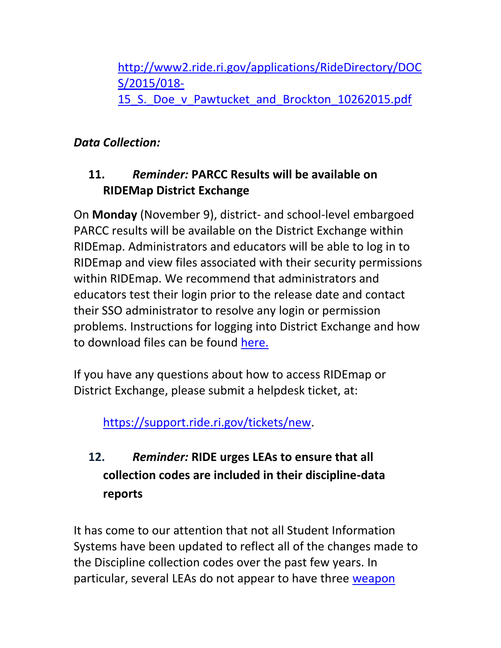[http://www2.ride.ri.gov/applications/RideDirectory/DOC](http://www2.ride.ri.gov/applications/RideDirectory/DOCS/2015/018-15_S._Doe_v_Pawtucket_and_Brockton_10262015.pdf) [S/2015/018-](http://www2.ride.ri.gov/applications/RideDirectory/DOCS/2015/018-15_S._Doe_v_Pawtucket_and_Brockton_10262015.pdf) 15 S. Doe v Pawtucket and Brockton 10262015.pdf

## *Data Collection:*

## <span id="page-14-0"></span>**11.** *Reminder:* **PARCC Results will be available on RIDEMap District Exchange**

On **Monday** (November 9), district- and school-level embargoed PARCC results will be available on the District Exchange within RIDEmap. Administrators and educators will be able to log in to RIDEmap and view files associated with their security permissions within RIDEmap. We recommend that administrators and educators test their login prior to the release date and contact their SSO administrator to resolve any login or permission problems. Instructions for logging into District Exchange and how to download files can be found [here.](http://www.ride.ri.gov/Portals/0/Uploads/Documents/District%20Exchange%20Instructions.pdf)

If you have any questions about how to access RIDEmap or District Exchange, please submit a helpdesk ticket, at:

<https://support.ride.ri.gov/>tickets/new.

# <span id="page-14-1"></span>**12.** *Reminder:* **RIDE urges LEAs to ensure that all collection codes are included in their discipline-data reports**

It has come to our attention that not all Student Information Systems have been updated to reflect all of the changes made to the Discipline collection codes over the past few years. In particular, several LEAs do not appear to have three [weapon](http://www.ride.ri.gov/Portals/0/Uploads/Documents/ODAR/DisciplineCollection.pdf)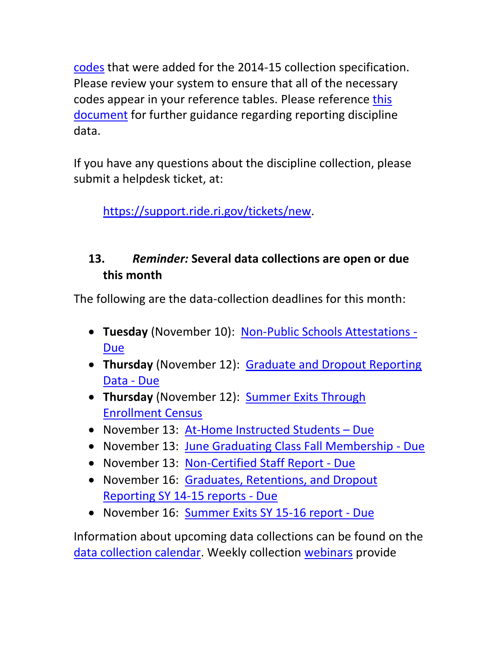[codes](http://www.ride.ri.gov/Portals/0/Uploads/Documents/ODAR/DisciplineCollection.pdf) that were added for the 2014-15 collection specification. Please review your system to ensure that all of the necessary codes appear in your reference tables. Please reference [this](http://www.ride.ri.gov/Portals/0/Uploads/Documents/Information-and-Accountability-User-Friendly-Data/Data-Resources/Data-Collections/Guidance-Discipline-Collection-2015-16.pdf)  [document](http://www.ride.ri.gov/Portals/0/Uploads/Documents/Information-and-Accountability-User-Friendly-Data/Data-Resources/Data-Collections/Guidance-Discipline-Collection-2015-16.pdf) for further guidance regarding reporting discipline data.

If you have any questions about the discipline collection, please submit a helpdesk ticket, at:

<https://support.ride.ri.gov/>tickets/new.

## <span id="page-15-0"></span>**13.** *Reminder:* **Several data collections are open or due this month**

The following are the data-collection deadlines for this month:

- **Tuesday** (November 10): [Non-Public Schools Attestations -](https://www.eride.ri.gov/eRide40/DataDictionary/ViewDetails.aspx?ID=298) [Due](https://www.eride.ri.gov/eRide40/DataDictionary/ViewDetails.aspx?ID=298)
- **Thursday** (November 12): [Graduate and Dropout Reporting](https://www.eride.ri.gov/eRide40/DataDictionary/ViewDetails.aspx?ID=296)  [Data -](https://www.eride.ri.gov/eRide40/DataDictionary/ViewDetails.aspx?ID=296) Due
- **Thursday** (November 12): [Summer Exits Through](https://www.eride.ri.gov/eRide40/DataDictionary/ViewDetails.aspx?ID=301)  [Enrollment Census](https://www.eride.ri.gov/eRide40/DataDictionary/ViewDetails.aspx?ID=301)
- November 13: [At-Home Instructed Students](https://www.eride.ri.gov/eRide40/DataDictionary/ViewDetails.aspx?ID=289)  Due
- November 13: [June Graduating Class Fall Membership -](https://www.eride.ri.gov/eRide40/DataDictionary/ViewDetails.aspx?ID=290) Due
- November 13: [Non-Certified Staff Report -](https://www.eride.ri.gov/eRide40/DataDictionary/ViewDetails.aspx?ID=288) Due
- November 16: Graduates, Retentions, and Dropout [Reporting SY 14-15 reports -](https://www.eride.ri.gov/eRide40/DataDictionary/ViewDetails.aspx?ID=296) Due
- November 16: [Summer Exits SY 15-16 report -](https://www.eride.ri.gov/eRide40/DataDictionary/ViewDetails.aspx?ID=301) Due

Information about upcoming data collections can be found on the [data collection calendar.](https://www.eride.ri.gov/eRide40/DataDictionary/Calendar.aspx) Weekly collection [webinars](https://attendee.gotowebinar.com/register/1244693710129866241) provide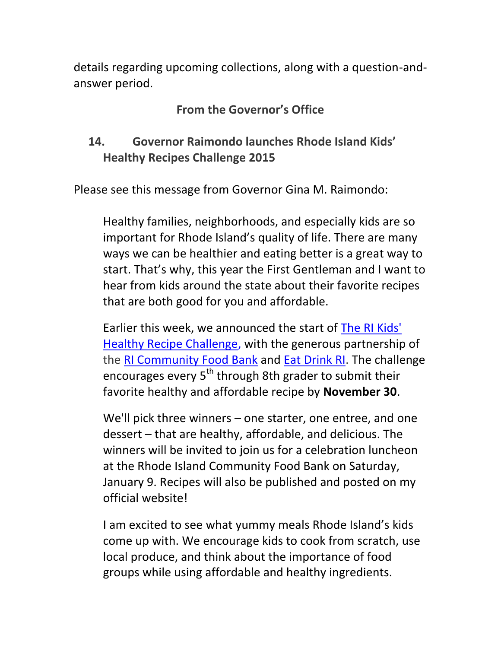details regarding upcoming collections, along with a question-andanswer period.

### **From the Governor's Office**

## <span id="page-16-0"></span>**14. Governor Raimondo launches Rhode Island Kids' Healthy Recipes Challenge 2015**

Please see this message from Governor Gina M. Raimondo:

Healthy families, neighborhoods, and especially kids are so important for Rhode Island's quality of life. There are many ways we can be healthier and eating better is a great way to start. That's why, this year the First Gentleman and I want to hear from kids around the state about their favorite recipes that are both good for you and affordable.

Earlier this week, we announced the start of [The RI Kids'](http://r20.rs6.net/tn.jsp?f=001Pwj3GfreZnsFiQpL05gpIDgY_fgb4f5WmZI7bsyXtq7ZrcdSXN3tvFRX2HILuteqP70SpixgdERbBQhFuJ8s1nvli-StJ0P87NMsgNpfnftsOs1dRXu1rIETKGNjZ58gtKQeQCNIMsnOvPsrbeU_9NBn4GDbrhzpvR56_hGdCKo=&c=Oq35KbQsNnjIzveJRzOw4OzDMpxSkPzmE-1SQhbvQhUUozeMrR96Hg==&ch=2lgHEXJ0EI17UY4n6V1BwgMnTipfPo5dl4-II2jP_c3Eh9g54oMhdw==)  [Healthy Recipe Challenge,](http://r20.rs6.net/tn.jsp?f=001Pwj3GfreZnsFiQpL05gpIDgY_fgb4f5WmZI7bsyXtq7ZrcdSXN3tvFRX2HILuteqP70SpixgdERbBQhFuJ8s1nvli-StJ0P87NMsgNpfnftsOs1dRXu1rIETKGNjZ58gtKQeQCNIMsnOvPsrbeU_9NBn4GDbrhzpvR56_hGdCKo=&c=Oq35KbQsNnjIzveJRzOw4OzDMpxSkPzmE-1SQhbvQhUUozeMrR96Hg==&ch=2lgHEXJ0EI17UY4n6V1BwgMnTipfPo5dl4-II2jP_c3Eh9g54oMhdw==) with the generous partnership of the [RI Community Food Bank](http://r20.rs6.net/tn.jsp?f=001Pwj3GfreZnsFiQpL05gpIDgY_fgb4f5WmZI7bsyXtq7ZrcdSXN3tvFRX2HILuteq_xHAs8CpvdguX9zQjBTK1FM9ke2qkAvaI5AaO3Vp2l57kR5a5g2a3A2FVh1TY_OhueKGnqWG6Dm6xaW0TYw94w==&c=Oq35KbQsNnjIzveJRzOw4OzDMpxSkPzmE-1SQhbvQhUUozeMrR96Hg==&ch=2lgHEXJ0EI17UY4n6V1BwgMnTipfPo5dl4-II2jP_c3Eh9g54oMhdw==) and [Eat Drink RI.](http://r20.rs6.net/tn.jsp?f=001Pwj3GfreZnsFiQpL05gpIDgY_fgb4f5WmZI7bsyXtq7ZrcdSXN3tvFRX2HILuteqT19fkS87VOdsQHcxLfSPmxnvgocPH3zSqutVa4lHZ_9CGWxk3RU25SYAUXtD7v4Q91Isn5tjj-6h1AFBLZ4boQ==&c=Oq35KbQsNnjIzveJRzOw4OzDMpxSkPzmE-1SQhbvQhUUozeMrR96Hg==&ch=2lgHEXJ0EI17UY4n6V1BwgMnTipfPo5dl4-II2jP_c3Eh9g54oMhdw==) The challenge encourages every  $5<sup>th</sup>$  through 8th grader to submit their favorite healthy and affordable recipe by **November 30**.

We'll pick three winners – one starter, one entree, and one dessert – that are healthy, affordable, and delicious. The winners will be invited to join us for a celebration luncheon at the Rhode Island Community Food Bank on Saturday, January 9. Recipes will also be published and posted on my official website!

I am excited to see what yummy meals Rhode Island's kids come up with. We encourage kids to cook from scratch, use local produce, and think about the importance of food groups while using affordable and healthy ingredients.